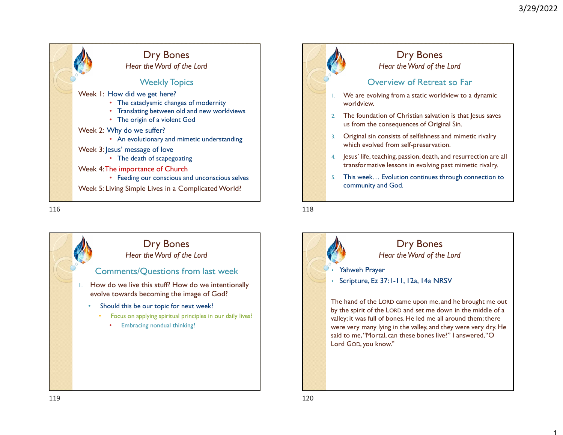1







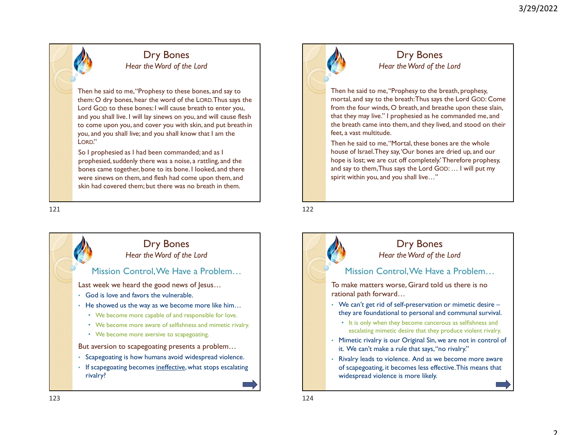## Dry Bones Hear the Word of the Lord

Then he said to me, "Prophesy to these bones, and say to them: O dry bones, hear the word of the LORD. Thus says the Lord Then he said to me, "Prophesy to these bones, and say to<br>
Then he said to me, "Prophesy to these bones, and say to<br>
them: O dry bones, hear the word of the LORD. Thus says the<br>
lord GOD to these bones: I will cause br and you shall live. I will lay sinews on you, and will cause flesh to come upon you, and cover you with skin, and put breath in the breath in the breath in the said to me,"Prophesy to the breath in the me said to me,"Prophesy to the breath in the said to me,"Prophesy to the breath in the you, and you shall live; and you shall know that I am the LORD." 121<br>
1222<br>
1222<br>
1222<br>
1222<br>
1222<br>
1222<br>
1222<br>
1222<br>
1222<br>
1222<br>
1222<br>
1222<br>
1222<br>
1222<br>
1222<br>
1222<br>
1222<br>
1222<br>
1222<br>
1222<br>
1222<br>
1222<br>
1222<br>
1222<br>
1222<br>
1222<br>
1222<br>
1222<br>
1222<br>
1222<br>
1222<br>
1222<br>
1222<br>
1222<br>
1222<br>
1222<br>

So I prophesied as I had been commanded; and as I prophesied, suddenly there was a noise, a rattling, and the bones came together, bone to its bone. I looked, and there were sinews on them, and flesh had come upon them, and skin had covered them; but there was no breath in them.





## Dry Bones Hear the Word of the Lord

Then he said to me, "Prophesy to the breath, prophesy, mortal, and say to the breath: Thus says the Lord GOD: Come from the four winds, O breath, and breathe upon these slain, that they may live." I prophesied as he commanded me, and the breath came into them, and they lived, and stood on their feet, a vast multitude.

Then he said to me, "Mortal, these bones are the whole house of Israel. They say, 'Our bones are dried up, and our hope is lost; we are cut off completely.' Therefore prophesy, and say to them, Thus says the Lord GOD: … I will put my spirit within you, and you shall live…"

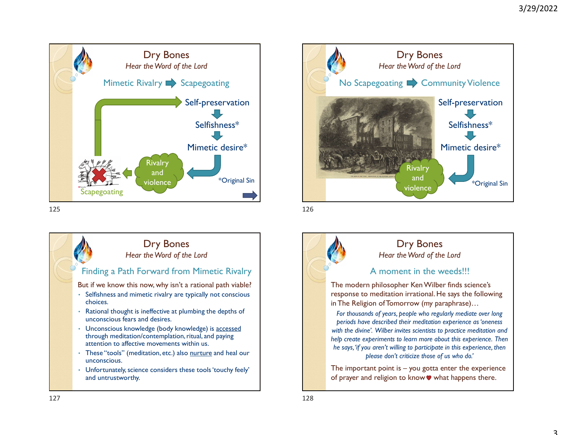





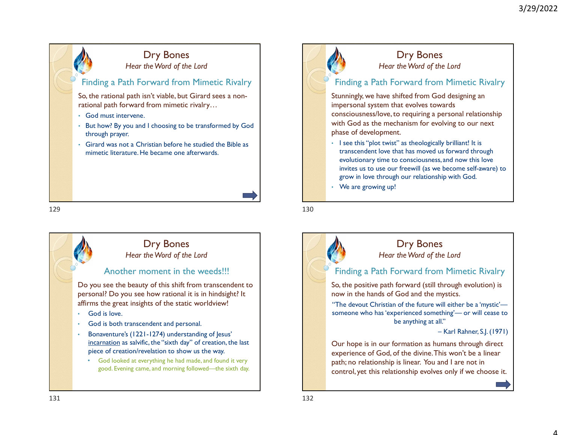





## Dry Bones Hear the Word of the Lord

## Finding a Path Forward from Mimetic Rivalry

Stunningly, we have shifted from God designing an impersonal system that evolves towards consciousness/love, to requiring a personal relationship with God as the mechanism for evolving to our next phase of development.

- I see this "plot twist" as theologically brilliant! It is transcendent love that has moved us forward through evolutionary time to consciousness, and now this love invites us to use our freewill (as we become self-aware) to grow in love through our relationship with God.
- We are growing up!

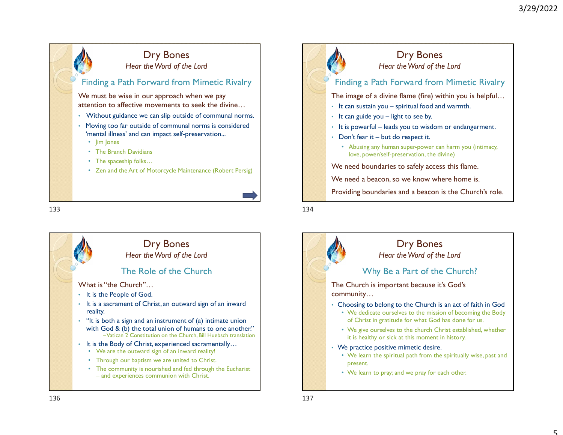5





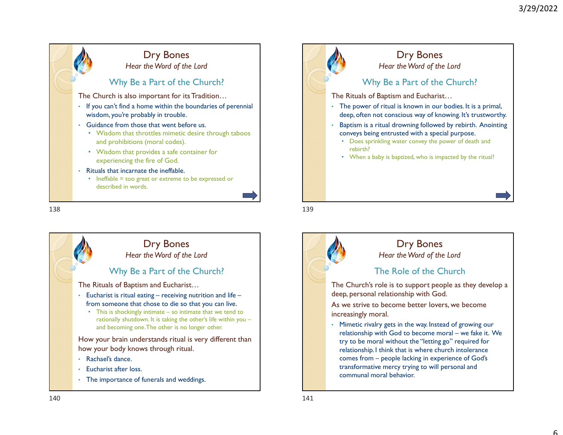



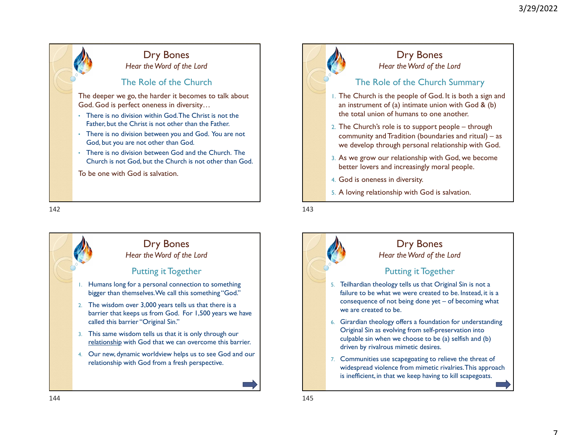